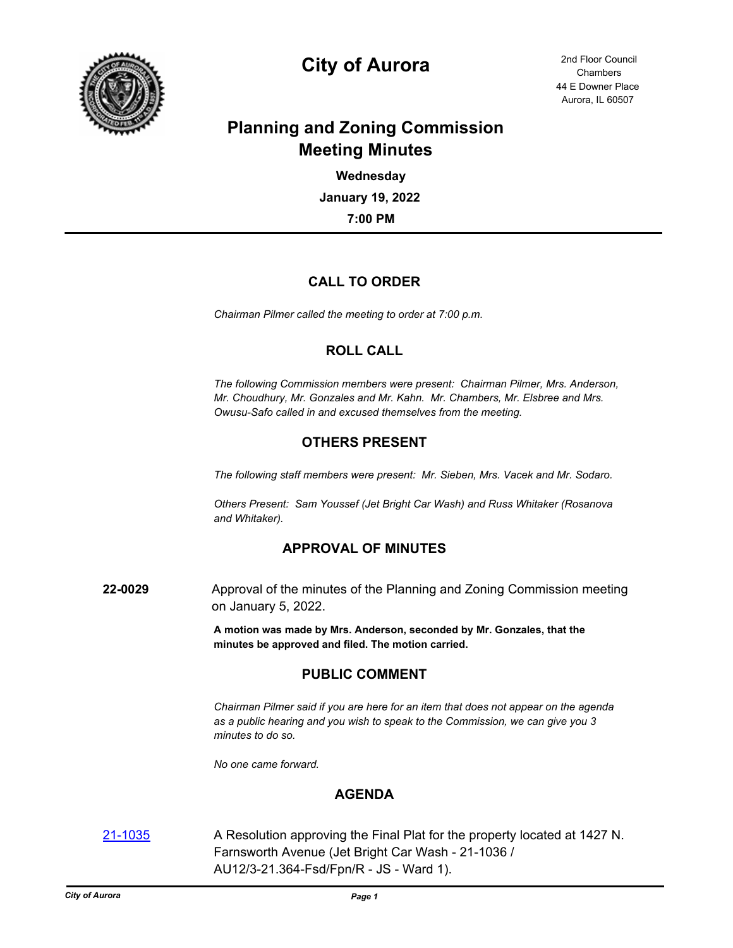

# **City of Aurora** 2nd Floor Council

44 E Downer Place Aurora, IL 60507 **Chambers** 

## **Planning and Zoning Commission Meeting Minutes**

**7:00 PM January 19, 2022 Wednesday**

## **CALL TO ORDER**

*Chairman Pilmer called the meeting to order at 7:00 p.m.*

### **ROLL CALL**

*The following Commission members were present: Chairman Pilmer, Mrs. Anderson, Mr. Choudhury, Mr. Gonzales and Mr. Kahn. Mr. Chambers, Mr. Elsbree and Mrs. Owusu-Safo called in and excused themselves from the meeting.*

## **OTHERS PRESENT**

*The following staff members were present: Mr. Sieben, Mrs. Vacek and Mr. Sodaro.*

*Others Present: Sam Youssef (Jet Bright Car Wash) and Russ Whitaker (Rosanova and Whitaker).*

### **APPROVAL OF MINUTES**

**22-0029** Approval of the minutes of the Planning and Zoning Commission meeting on January 5, 2022.

> **A motion was made by Mrs. Anderson, seconded by Mr. Gonzales, that the minutes be approved and filed. The motion carried.**

### **PUBLIC COMMENT**

*Chairman Pilmer said if you are here for an item that does not appear on the agenda as a public hearing and you wish to speak to the Commission, we can give you 3 minutes to do so.*

*No one came forward.*

### **AGENDA**

[21-1035](http://aurora-il.legistar.com/gateway.aspx?m=l&id=/matter.aspx?key=11052) A Resolution approving the Final Plat for the property located at 1427 N. Farnsworth Avenue (Jet Bright Car Wash - 21-1036 / AU12/3-21.364-Fsd/Fpn/R - JS - Ward 1).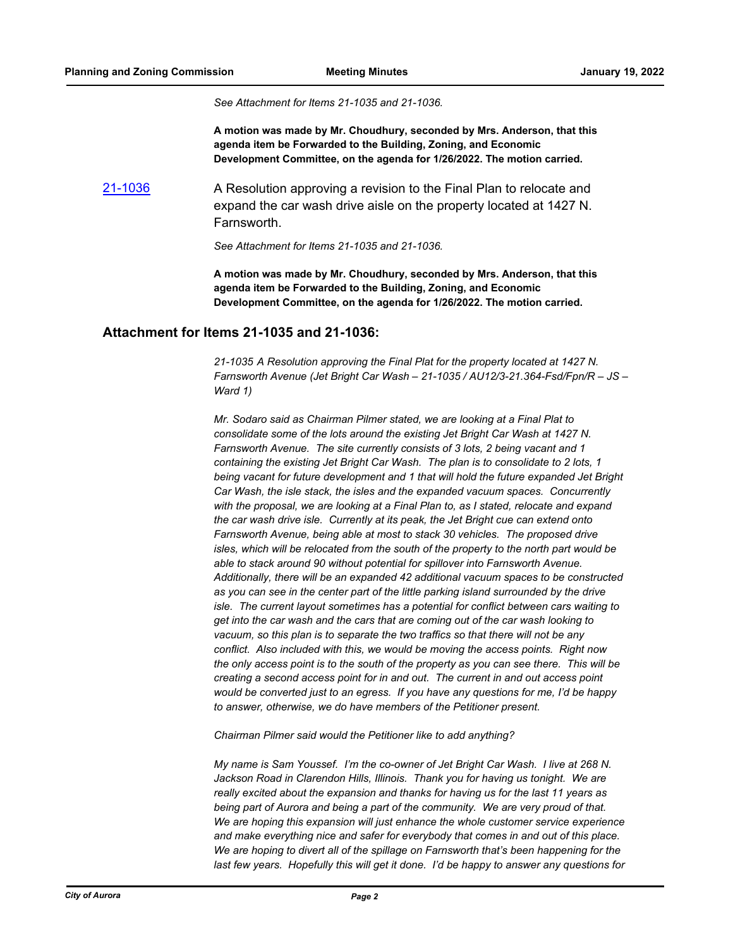*See Attachment for Items 21-1035 and 21-1036.*

**A motion was made by Mr. Choudhury, seconded by Mrs. Anderson, that this agenda item be Forwarded to the Building, Zoning, and Economic Development Committee, on the agenda for 1/26/2022. The motion carried.**

[21-1036](http://aurora-il.legistar.com/gateway.aspx?m=l&id=/matter.aspx?key=11053) A Resolution approving a revision to the Final Plan to relocate and expand the car wash drive aisle on the property located at 1427 N. **Farnsworth** 

*See Attachment for Items 21-1035 and 21-1036.*

**A motion was made by Mr. Choudhury, seconded by Mrs. Anderson, that this agenda item be Forwarded to the Building, Zoning, and Economic Development Committee, on the agenda for 1/26/2022. The motion carried.**

#### **Attachment for Items 21-1035 and 21-1036:**

*21-1035 A Resolution approving the Final Plat for the property located at 1427 N. Farnsworth Avenue (Jet Bright Car Wash – 21-1035 / AU12/3-21.364-Fsd/Fpn/R – JS – Ward 1)*

*Mr. Sodaro said as Chairman Pilmer stated, we are looking at a Final Plat to consolidate some of the lots around the existing Jet Bright Car Wash at 1427 N. Farnsworth Avenue. The site currently consists of 3 lots, 2 being vacant and 1 containing the existing Jet Bright Car Wash. The plan is to consolidate to 2 lots, 1 being vacant for future development and 1 that will hold the future expanded Jet Bright Car Wash, the isle stack, the isles and the expanded vacuum spaces. Concurrently*  with the proposal, we are looking at a Final Plan to, as I stated, relocate and expand *the car wash drive isle. Currently at its peak, the Jet Bright cue can extend onto Farnsworth Avenue, being able at most to stack 30 vehicles. The proposed drive isles, which will be relocated from the south of the property to the north part would be able to stack around 90 without potential for spillover into Farnsworth Avenue. Additionally, there will be an expanded 42 additional vacuum spaces to be constructed as you can see in the center part of the little parking island surrounded by the drive isle. The current layout sometimes has a potential for conflict between cars waiting to get into the car wash and the cars that are coming out of the car wash looking to vacuum, so this plan is to separate the two traffics so that there will not be any conflict. Also included with this, we would be moving the access points. Right now the only access point is to the south of the property as you can see there. This will be creating a second access point for in and out. The current in and out access point would be converted just to an egress. If you have any questions for me, I'd be happy to answer, otherwise, we do have members of the Petitioner present.*

*Chairman Pilmer said would the Petitioner like to add anything?*

*My name is Sam Youssef. I'm the co-owner of Jet Bright Car Wash. I live at 268 N. Jackson Road in Clarendon Hills, Illinois. Thank you for having us tonight. We are really excited about the expansion and thanks for having us for the last 11 years as being part of Aurora and being a part of the community. We are very proud of that. We are hoping this expansion will just enhance the whole customer service experience and make everything nice and safer for everybody that comes in and out of this place. We are hoping to divert all of the spillage on Farnsworth that's been happening for the last few years. Hopefully this will get it done. I'd be happy to answer any questions for*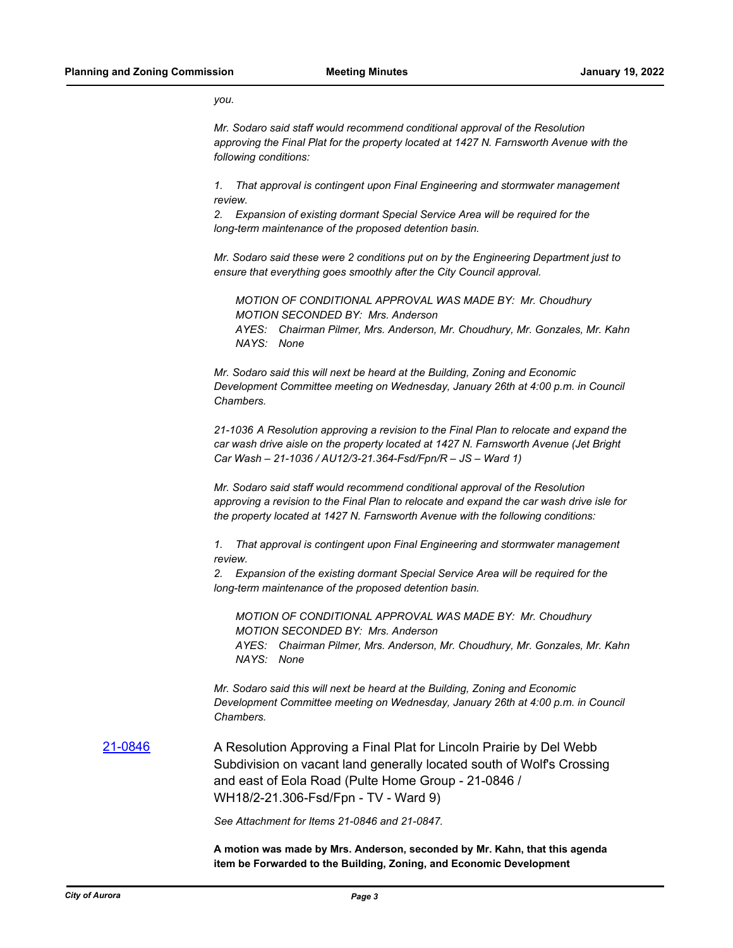*you.*

*Mr. Sodaro said staff would recommend conditional approval of the Resolution approving the Final Plat for the property located at 1427 N. Farnsworth Avenue with the following conditions:*

*1. That approval is contingent upon Final Engineering and stormwater management review.*

*2. Expansion of existing dormant Special Service Area will be required for the long-term maintenance of the proposed detention basin.*

*Mr. Sodaro said these were 2 conditions put on by the Engineering Department just to ensure that everything goes smoothly after the City Council approval.*

*MOTION OF CONDITIONAL APPROVAL WAS MADE BY: Mr. Choudhury MOTION SECONDED BY: Mrs. Anderson AYES: Chairman Pilmer, Mrs. Anderson, Mr. Choudhury, Mr. Gonzales, Mr. Kahn NAYS: None*

*Mr. Sodaro said this will next be heard at the Building, Zoning and Economic Development Committee meeting on Wednesday, January 26th at 4:00 p.m. in Council Chambers.*

*21-1036 A Resolution approving a revision to the Final Plan to relocate and expand the car wash drive aisle on the property located at 1427 N. Farnsworth Avenue (Jet Bright Car Wash – 21-1036 / AU12/3-21.364-Fsd/Fpn/R – JS – Ward 1)*

*Mr. Sodaro said staff would recommend conditional approval of the Resolution approving a revision to the Final Plan to relocate and expand the car wash drive isle for the property located at 1427 N. Farnsworth Avenue with the following conditions:*

*1. That approval is contingent upon Final Engineering and stormwater management review.*

*2. Expansion of the existing dormant Special Service Area will be required for the long-term maintenance of the proposed detention basin.*

*MOTION OF CONDITIONAL APPROVAL WAS MADE BY: Mr. Choudhury MOTION SECONDED BY: Mrs. Anderson AYES: Chairman Pilmer, Mrs. Anderson, Mr. Choudhury, Mr. Gonzales, Mr. Kahn NAYS: None*

*Mr. Sodaro said this will next be heard at the Building, Zoning and Economic Development Committee meeting on Wednesday, January 26th at 4:00 p.m. in Council Chambers.*

[21-0846](http://aurora-il.legistar.com/gateway.aspx?m=l&id=/matter.aspx?key=10863) **A Resolution Approving a Final Plat for Lincoln Prairie by Del Webb** Subdivision on vacant land generally located south of Wolf's Crossing and east of Eola Road (Pulte Home Group - 21-0846 / WH18/2-21.306-Fsd/Fpn - TV - Ward 9)

*See Attachment for Items 21-0846 and 21-0847.*

**A motion was made by Mrs. Anderson, seconded by Mr. Kahn, that this agenda item be Forwarded to the Building, Zoning, and Economic Development**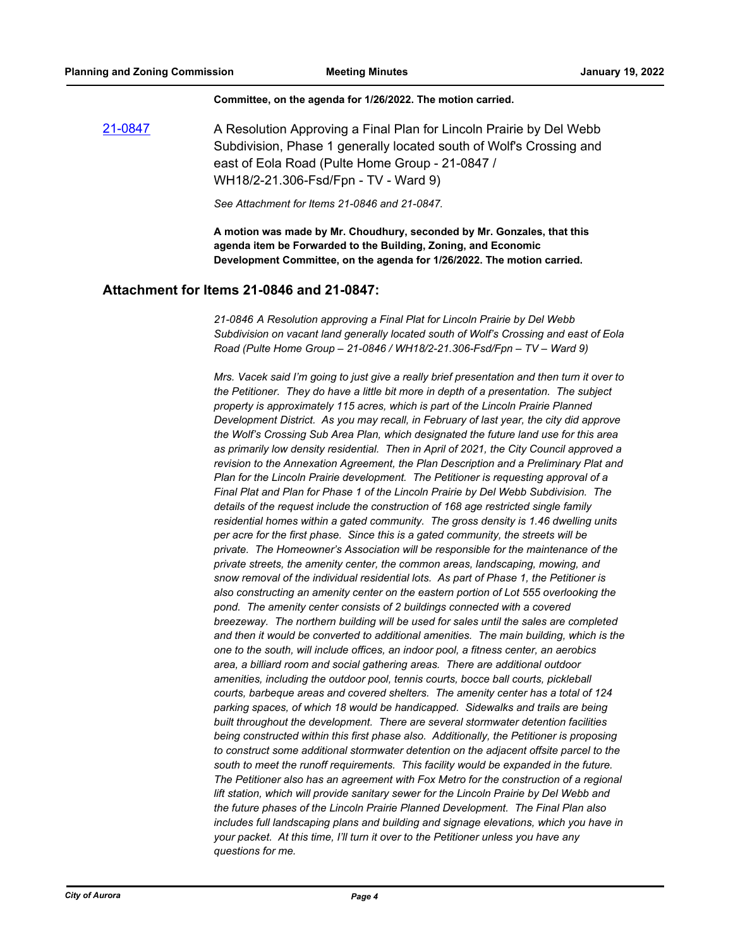#### **Committee, on the agenda for 1/26/2022. The motion carried.**

[21-0847](http://aurora-il.legistar.com/gateway.aspx?m=l&id=/matter.aspx?key=10864) A Resolution Approving a Final Plan for Lincoln Prairie by Del Webb Subdivision, Phase 1 generally located south of Wolf's Crossing and east of Eola Road (Pulte Home Group - 21-0847 / WH18/2-21.306-Fsd/Fpn - TV - Ward 9)

*See Attachment for Items 21-0846 and 21-0847.*

**A motion was made by Mr. Choudhury, seconded by Mr. Gonzales, that this agenda item be Forwarded to the Building, Zoning, and Economic Development Committee, on the agenda for 1/26/2022. The motion carried.**

#### **Attachment for Items 21-0846 and 21-0847:**

*21-0846 A Resolution approving a Final Plat for Lincoln Prairie by Del Webb Subdivision on vacant land generally located south of Wolf's Crossing and east of Eola Road (Pulte Home Group – 21-0846 / WH18/2-21.306-Fsd/Fpn – TV – Ward 9)*

*Mrs. Vacek said I'm going to just give a really brief presentation and then turn it over to the Petitioner. They do have a little bit more in depth of a presentation. The subject property is approximately 115 acres, which is part of the Lincoln Prairie Planned Development District. As you may recall, in February of last year, the city did approve the Wolf's Crossing Sub Area Plan, which designated the future land use for this area as primarily low density residential. Then in April of 2021, the City Council approved a revision to the Annexation Agreement, the Plan Description and a Preliminary Plat and Plan for the Lincoln Prairie development. The Petitioner is requesting approval of a Final Plat and Plan for Phase 1 of the Lincoln Prairie by Del Webb Subdivision. The details of the request include the construction of 168 age restricted single family residential homes within a gated community. The gross density is 1.46 dwelling units per acre for the first phase. Since this is a gated community, the streets will be private. The Homeowner's Association will be responsible for the maintenance of the private streets, the amenity center, the common areas, landscaping, mowing, and snow removal of the individual residential lots. As part of Phase 1, the Petitioner is also constructing an amenity center on the eastern portion of Lot 555 overlooking the pond. The amenity center consists of 2 buildings connected with a covered breezeway. The northern building will be used for sales until the sales are completed and then it would be converted to additional amenities. The main building, which is the one to the south, will include offices, an indoor pool, a fitness center, an aerobics area, a billiard room and social gathering areas. There are additional outdoor amenities, including the outdoor pool, tennis courts, bocce ball courts, pickleball courts, barbeque areas and covered shelters. The amenity center has a total of 124 parking spaces, of which 18 would be handicapped. Sidewalks and trails are being built throughout the development. There are several stormwater detention facilities being constructed within this first phase also. Additionally, the Petitioner is proposing to construct some additional stormwater detention on the adjacent offsite parcel to the south to meet the runoff requirements. This facility would be expanded in the future. The Petitioner also has an agreement with Fox Metro for the construction of a regional*  lift station, which will provide sanitary sewer for the Lincoln Prairie by Del Webb and *the future phases of the Lincoln Prairie Planned Development. The Final Plan also includes full landscaping plans and building and signage elevations, which you have in your packet. At this time, I'll turn it over to the Petitioner unless you have any questions for me.*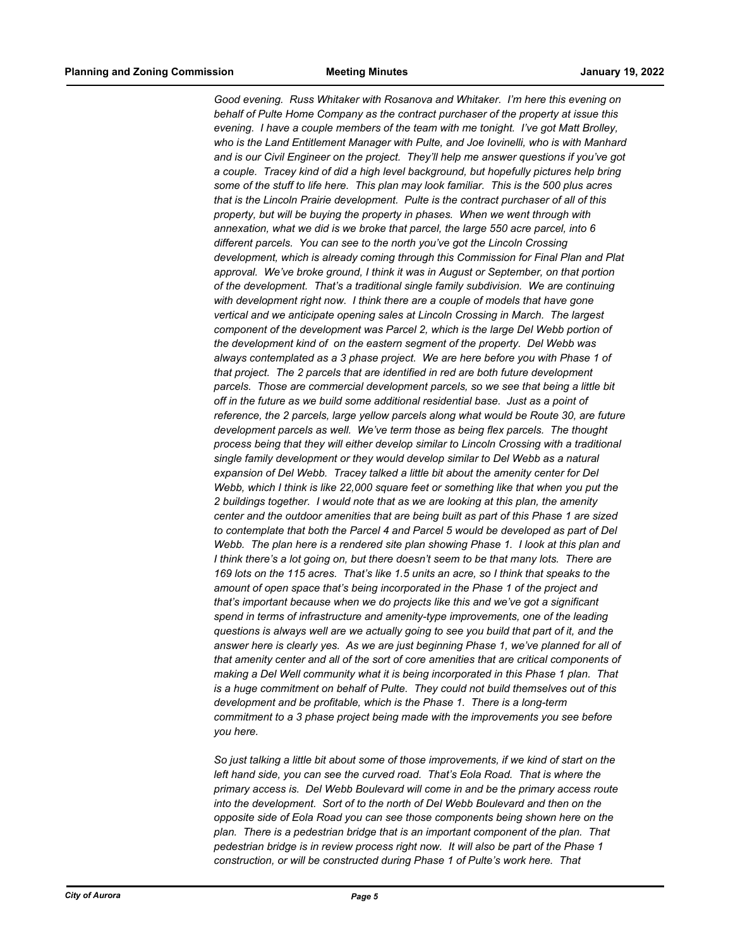*Good evening. Russ Whitaker with Rosanova and Whitaker. I'm here this evening on behalf of Pulte Home Company as the contract purchaser of the property at issue this evening. I have a couple members of the team with me tonight. I've got Matt Brolley, who is the Land Entitlement Manager with Pulte, and Joe Iovinelli, who is with Manhard and is our Civil Engineer on the project. They'll help me answer questions if you've got a couple. Tracey kind of did a high level background, but hopefully pictures help bring some of the stuff to life here. This plan may look familiar. This is the 500 plus acres that is the Lincoln Prairie development. Pulte is the contract purchaser of all of this property, but will be buying the property in phases. When we went through with annexation, what we did is we broke that parcel, the large 550 acre parcel, into 6 different parcels. You can see to the north you've got the Lincoln Crossing development, which is already coming through this Commission for Final Plan and Plat approval. We've broke ground, I think it was in August or September, on that portion of the development. That's a traditional single family subdivision. We are continuing with development right now. I think there are a couple of models that have gone vertical and we anticipate opening sales at Lincoln Crossing in March. The largest component of the development was Parcel 2, which is the large Del Webb portion of the development kind of on the eastern segment of the property. Del Webb was always contemplated as a 3 phase project. We are here before you with Phase 1 of that project. The 2 parcels that are identified in red are both future development parcels. Those are commercial development parcels, so we see that being a little bit off in the future as we build some additional residential base. Just as a point of reference, the 2 parcels, large yellow parcels along what would be Route 30, are future development parcels as well. We've term those as being flex parcels. The thought process being that they will either develop similar to Lincoln Crossing with a traditional single family development or they would develop similar to Del Webb as a natural expansion of Del Webb. Tracey talked a little bit about the amenity center for Del Webb, which I think is like 22,000 square feet or something like that when you put the 2 buildings together. I would note that as we are looking at this plan, the amenity center and the outdoor amenities that are being built as part of this Phase 1 are sized to contemplate that both the Parcel 4 and Parcel 5 would be developed as part of Del Webb. The plan here is a rendered site plan showing Phase 1. I look at this plan and I think there's a lot going on, but there doesn't seem to be that many lots. There are 169 lots on the 115 acres. That's like 1.5 units an acre, so I think that speaks to the amount of open space that's being incorporated in the Phase 1 of the project and that's important because when we do projects like this and we've got a significant spend in terms of infrastructure and amenity-type improvements, one of the leading questions is always well are we actually going to see you build that part of it, and the answer here is clearly yes. As we are just beginning Phase 1, we've planned for all of that amenity center and all of the sort of core amenities that are critical components of making a Del Well community what it is being incorporated in this Phase 1 plan. That is a huge commitment on behalf of Pulte. They could not build themselves out of this development and be profitable, which is the Phase 1. There is a long-term commitment to a 3 phase project being made with the improvements you see before you here.*

*So just talking a little bit about some of those improvements, if we kind of start on the left hand side, you can see the curved road. That's Eola Road. That is where the primary access is. Del Webb Boulevard will come in and be the primary access route into the development. Sort of to the north of Del Webb Boulevard and then on the opposite side of Eola Road you can see those components being shown here on the plan. There is a pedestrian bridge that is an important component of the plan. That pedestrian bridge is in review process right now. It will also be part of the Phase 1 construction, or will be constructed during Phase 1 of Pulte's work here. That*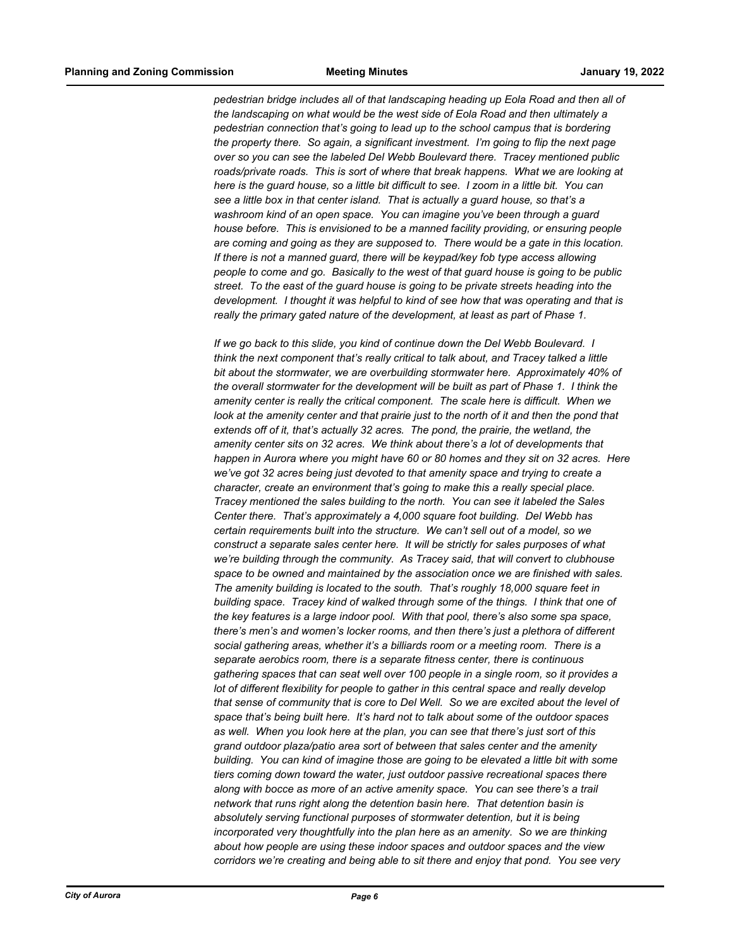*pedestrian bridge includes all of that landscaping heading up Eola Road and then all of the landscaping on what would be the west side of Eola Road and then ultimately a pedestrian connection that's going to lead up to the school campus that is bordering the property there. So again, a significant investment. I'm going to flip the next page over so you can see the labeled Del Webb Boulevard there. Tracey mentioned public roads/private roads. This is sort of where that break happens. What we are looking at here is the guard house, so a little bit difficult to see. I zoom in a little bit. You can see a little box in that center island. That is actually a guard house, so that's a washroom kind of an open space. You can imagine you've been through a guard house before. This is envisioned to be a manned facility providing, or ensuring people are coming and going as they are supposed to. There would be a gate in this location. If there is not a manned guard, there will be keypad/key fob type access allowing people to come and go. Basically to the west of that guard house is going to be public street. To the east of the guard house is going to be private streets heading into the development. I thought it was helpful to kind of see how that was operating and that is really the primary gated nature of the development, at least as part of Phase 1.*

*If we go back to this slide, you kind of continue down the Del Webb Boulevard. I think the next component that's really critical to talk about, and Tracey talked a little bit about the stormwater, we are overbuilding stormwater here. Approximately 40% of the overall stormwater for the development will be built as part of Phase 1. I think the amenity center is really the critical component. The scale here is difficult. When we look at the amenity center and that prairie just to the north of it and then the pond that extends off of it, that's actually 32 acres. The pond, the prairie, the wetland, the amenity center sits on 32 acres. We think about there's a lot of developments that happen in Aurora where you might have 60 or 80 homes and they sit on 32 acres. Here we've got 32 acres being just devoted to that amenity space and trying to create a character, create an environment that's going to make this a really special place. Tracey mentioned the sales building to the north. You can see it labeled the Sales Center there. That's approximately a 4,000 square foot building. Del Webb has certain requirements built into the structure. We can't sell out of a model, so we construct a separate sales center here. It will be strictly for sales purposes of what we're building through the community. As Tracey said, that will convert to clubhouse space to be owned and maintained by the association once we are finished with sales. The amenity building is located to the south. That's roughly 18,000 square feet in building space. Tracey kind of walked through some of the things. I think that one of the key features is a large indoor pool. With that pool, there's also some spa space, there's men's and women's locker rooms, and then there's just a plethora of different social gathering areas, whether it's a billiards room or a meeting room. There is a separate aerobics room, there is a separate fitness center, there is continuous gathering spaces that can seat well over 100 people in a single room, so it provides a lot of different flexibility for people to gather in this central space and really develop that sense of community that is core to Del Well. So we are excited about the level of space that's being built here. It's hard not to talk about some of the outdoor spaces as well. When you look here at the plan, you can see that there's just sort of this grand outdoor plaza/patio area sort of between that sales center and the amenity building. You can kind of imagine those are going to be elevated a little bit with some tiers coming down toward the water, just outdoor passive recreational spaces there along with bocce as more of an active amenity space. You can see there's a trail network that runs right along the detention basin here. That detention basin is absolutely serving functional purposes of stormwater detention, but it is being incorporated very thoughtfully into the plan here as an amenity. So we are thinking about how people are using these indoor spaces and outdoor spaces and the view corridors we're creating and being able to sit there and enjoy that pond. You see very*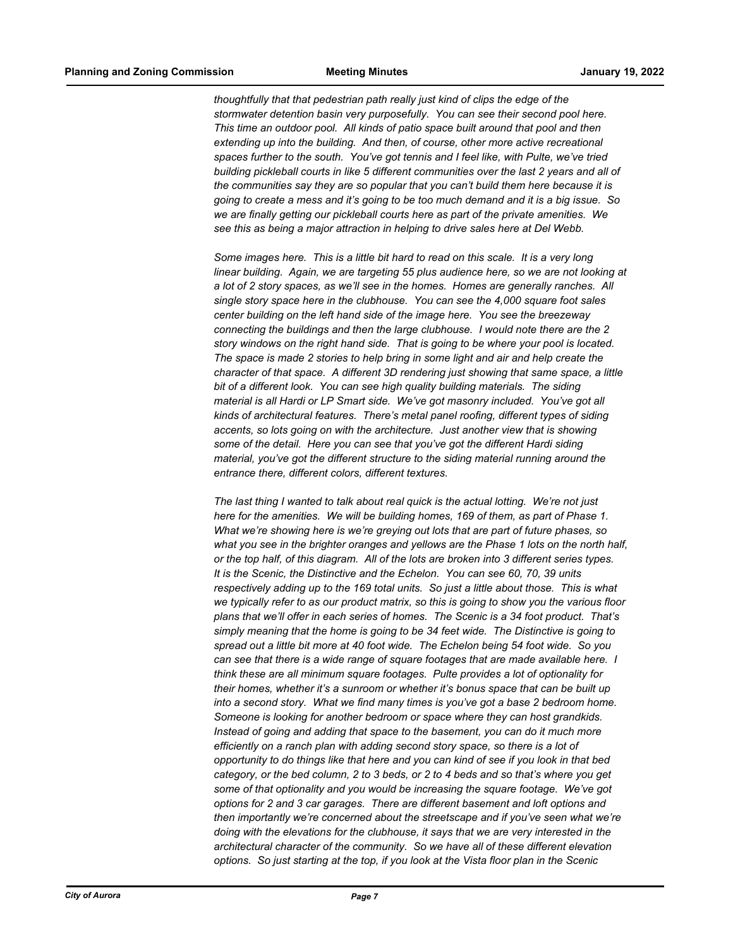*thoughtfully that that pedestrian path really just kind of clips the edge of the stormwater detention basin very purposefully. You can see their second pool here. This time an outdoor pool. All kinds of patio space built around that pool and then extending up into the building. And then, of course, other more active recreational spaces further to the south. You've got tennis and I feel like, with Pulte, we've tried building pickleball courts in like 5 different communities over the last 2 years and all of the communities say they are so popular that you can't build them here because it is going to create a mess and it's going to be too much demand and it is a big issue. So we are finally getting our pickleball courts here as part of the private amenities. We see this as being a major attraction in helping to drive sales here at Del Webb.*

*Some images here. This is a little bit hard to read on this scale. It is a very long linear building. Again, we are targeting 55 plus audience here, so we are not looking at a lot of 2 story spaces, as we'll see in the homes. Homes are generally ranches. All single story space here in the clubhouse. You can see the 4,000 square foot sales center building on the left hand side of the image here. You see the breezeway connecting the buildings and then the large clubhouse. I would note there are the 2 story windows on the right hand side. That is going to be where your pool is located. The space is made 2 stories to help bring in some light and air and help create the character of that space. A different 3D rendering just showing that same space, a little bit of a different look. You can see high quality building materials. The siding material is all Hardi or LP Smart side. We've got masonry included. You've got all kinds of architectural features. There's metal panel roofing, different types of siding accents, so lots going on with the architecture. Just another view that is showing some of the detail. Here you can see that you've got the different Hardi siding material, you've got the different structure to the siding material running around the entrance there, different colors, different textures.*

*The last thing I wanted to talk about real quick is the actual lotting. We're not just here for the amenities. We will be building homes, 169 of them, as part of Phase 1. What we're showing here is we're greying out lots that are part of future phases, so what you see in the brighter oranges and yellows are the Phase 1 lots on the north half, or the top half, of this diagram. All of the lots are broken into 3 different series types. It is the Scenic, the Distinctive and the Echelon. You can see 60, 70, 39 units respectively adding up to the 169 total units. So just a little about those. This is what we typically refer to as our product matrix, so this is going to show you the various floor plans that we'll offer in each series of homes. The Scenic is a 34 foot product. That's simply meaning that the home is going to be 34 feet wide. The Distinctive is going to spread out a little bit more at 40 foot wide. The Echelon being 54 foot wide. So you can see that there is a wide range of square footages that are made available here. I think these are all minimum square footages. Pulte provides a lot of optionality for their homes, whether it's a sunroom or whether it's bonus space that can be built up into a second story. What we find many times is you've got a base 2 bedroom home. Someone is looking for another bedroom or space where they can host grandkids. Instead of going and adding that space to the basement, you can do it much more efficiently on a ranch plan with adding second story space, so there is a lot of opportunity to do things like that here and you can kind of see if you look in that bed category, or the bed column, 2 to 3 beds, or 2 to 4 beds and so that's where you get some of that optionality and you would be increasing the square footage. We've got options for 2 and 3 car garages. There are different basement and loft options and then importantly we're concerned about the streetscape and if you've seen what we're doing with the elevations for the clubhouse, it says that we are very interested in the architectural character of the community. So we have all of these different elevation options. So just starting at the top, if you look at the Vista floor plan in the Scenic*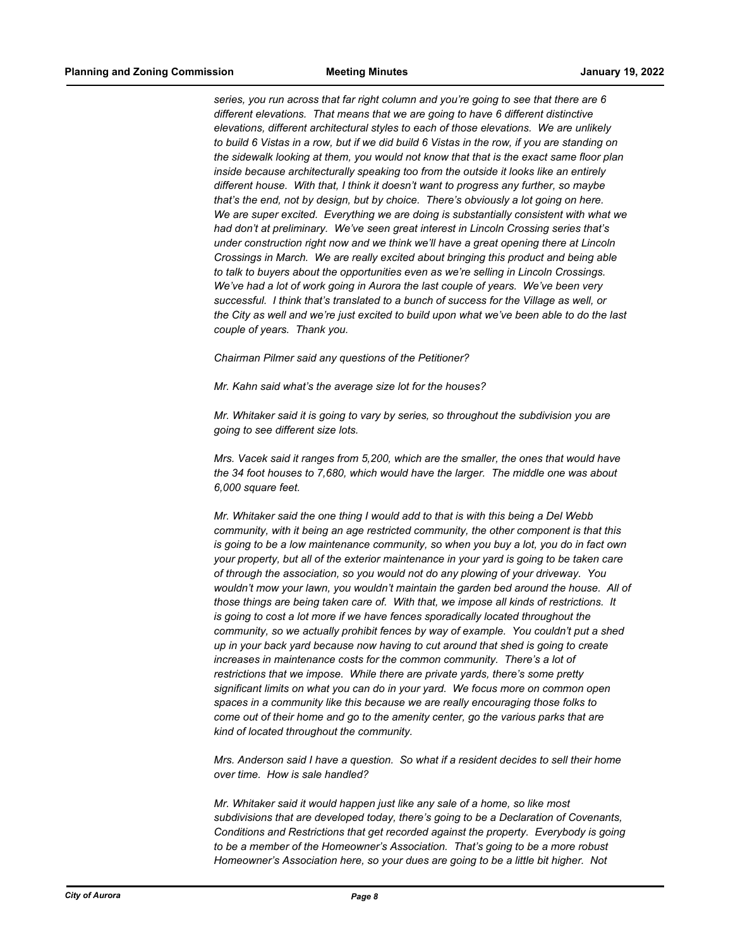*series, you run across that far right column and you're going to see that there are 6 different elevations. That means that we are going to have 6 different distinctive elevations, different architectural styles to each of those elevations. We are unlikely to build 6 Vistas in a row, but if we did build 6 Vistas in the row, if you are standing on the sidewalk looking at them, you would not know that that is the exact same floor plan inside because architecturally speaking too from the outside it looks like an entirely different house. With that, I think it doesn't want to progress any further, so maybe that's the end, not by design, but by choice. There's obviously a lot going on here. We are super excited. Everything we are doing is substantially consistent with what we had don't at preliminary. We've seen great interest in Lincoln Crossing series that's under construction right now and we think we'll have a great opening there at Lincoln Crossings in March. We are really excited about bringing this product and being able to talk to buyers about the opportunities even as we're selling in Lincoln Crossings. We've had a lot of work going in Aurora the last couple of years. We've been very successful. I think that's translated to a bunch of success for the Village as well, or the City as well and we're just excited to build upon what we've been able to do the last couple of years. Thank you.*

*Chairman Pilmer said any questions of the Petitioner?*

*Mr. Kahn said what's the average size lot for the houses?*

*Mr. Whitaker said it is going to vary by series, so throughout the subdivision you are going to see different size lots.*

*Mrs. Vacek said it ranges from 5,200, which are the smaller, the ones that would have the 34 foot houses to 7,680, which would have the larger. The middle one was about 6,000 square feet.*

*Mr. Whitaker said the one thing I would add to that is with this being a Del Webb community, with it being an age restricted community, the other component is that this is going to be a low maintenance community, so when you buy a lot, you do in fact own your property, but all of the exterior maintenance in your yard is going to be taken care of through the association, so you would not do any plowing of your driveway. You wouldn't mow your lawn, you wouldn't maintain the garden bed around the house. All of those things are being taken care of. With that, we impose all kinds of restrictions. It is going to cost a lot more if we have fences sporadically located throughout the community, so we actually prohibit fences by way of example. You couldn't put a shed up in your back yard because now having to cut around that shed is going to create increases in maintenance costs for the common community. There's a lot of restrictions that we impose. While there are private yards, there's some pretty significant limits on what you can do in your yard. We focus more on common open spaces in a community like this because we are really encouraging those folks to come out of their home and go to the amenity center, go the various parks that are kind of located throughout the community.*

*Mrs. Anderson said I have a question. So what if a resident decides to sell their home over time. How is sale handled?*

*Mr. Whitaker said it would happen just like any sale of a home, so like most subdivisions that are developed today, there's going to be a Declaration of Covenants, Conditions and Restrictions that get recorded against the property. Everybody is going to be a member of the Homeowner's Association. That's going to be a more robust Homeowner's Association here, so your dues are going to be a little bit higher. Not*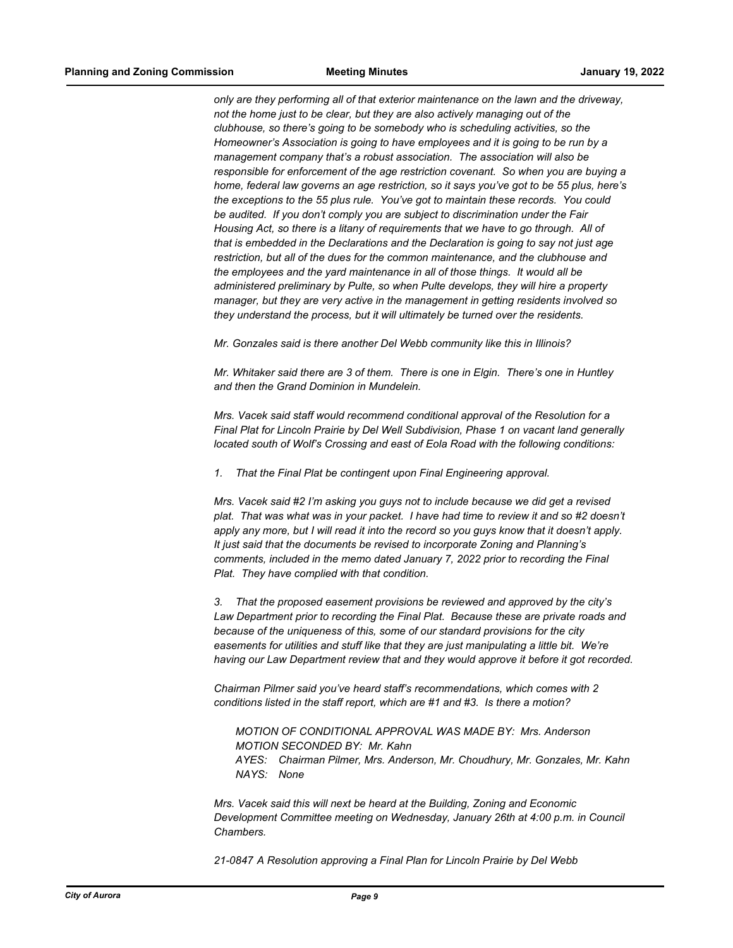*only are they performing all of that exterior maintenance on the lawn and the driveway, not the home just to be clear, but they are also actively managing out of the clubhouse, so there's going to be somebody who is scheduling activities, so the Homeowner's Association is going to have employees and it is going to be run by a management company that's a robust association. The association will also be responsible for enforcement of the age restriction covenant. So when you are buying a home, federal law governs an age restriction, so it says you've got to be 55 plus, here's the exceptions to the 55 plus rule. You've got to maintain these records. You could be audited. If you don't comply you are subject to discrimination under the Fair Housing Act, so there is a litany of requirements that we have to go through. All of that is embedded in the Declarations and the Declaration is going to say not just age restriction, but all of the dues for the common maintenance, and the clubhouse and the employees and the yard maintenance in all of those things. It would all be administered preliminary by Pulte, so when Pulte develops, they will hire a property manager, but they are very active in the management in getting residents involved so they understand the process, but it will ultimately be turned over the residents.*

*Mr. Gonzales said is there another Del Webb community like this in Illinois?*

*Mr. Whitaker said there are 3 of them. There is one in Elgin. There's one in Huntley and then the Grand Dominion in Mundelein.*

*Mrs. Vacek said staff would recommend conditional approval of the Resolution for a Final Plat for Lincoln Prairie by Del Well Subdivision, Phase 1 on vacant land generally located south of Wolf's Crossing and east of Eola Road with the following conditions:*

*1. That the Final Plat be contingent upon Final Engineering approval.*

*Mrs. Vacek said #2 I'm asking you guys not to include because we did get a revised plat. That was what was in your packet. I have had time to review it and so #2 doesn't apply any more, but I will read it into the record so you guys know that it doesn't apply. It just said that the documents be revised to incorporate Zoning and Planning's comments, included in the memo dated January 7, 2022 prior to recording the Final Plat. They have complied with that condition.*

*3. That the proposed easement provisions be reviewed and approved by the city's Law Department prior to recording the Final Plat. Because these are private roads and because of the uniqueness of this, some of our standard provisions for the city easements for utilities and stuff like that they are just manipulating a little bit. We're having our Law Department review that and they would approve it before it got recorded.*

*Chairman Pilmer said you've heard staff's recommendations, which comes with 2 conditions listed in the staff report, which are #1 and #3. Is there a motion?*

*MOTION OF CONDITIONAL APPROVAL WAS MADE BY: Mrs. Anderson MOTION SECONDED BY: Mr. Kahn AYES: Chairman Pilmer, Mrs. Anderson, Mr. Choudhury, Mr. Gonzales, Mr. Kahn NAYS: None*

*Mrs. Vacek said this will next be heard at the Building, Zoning and Economic Development Committee meeting on Wednesday, January 26th at 4:00 p.m. in Council Chambers.*

*21-0847 A Resolution approving a Final Plan for Lincoln Prairie by Del Webb*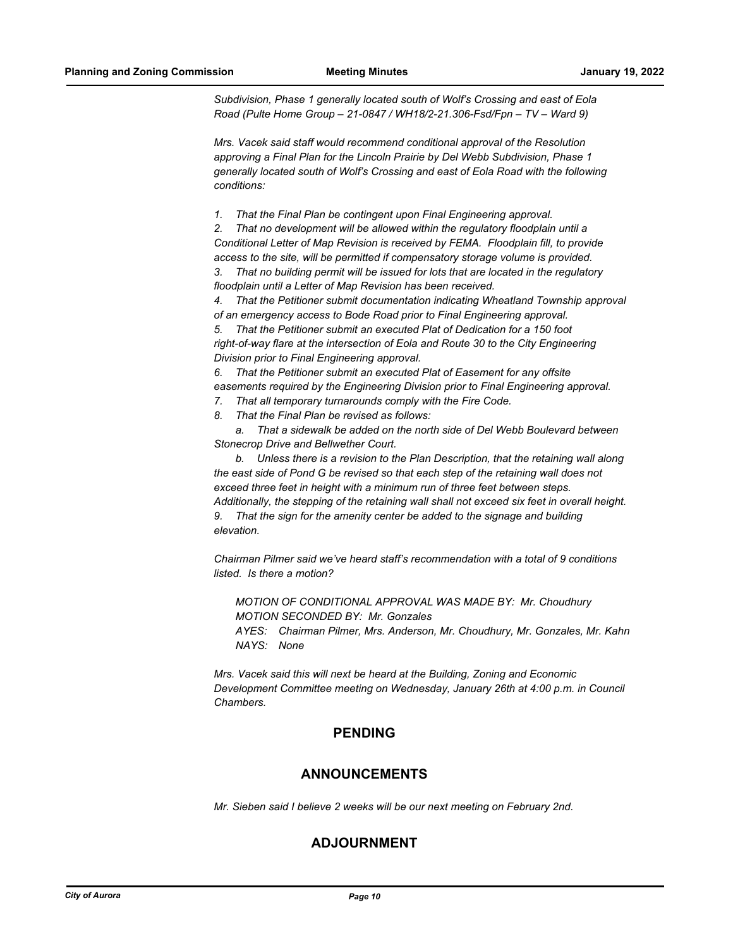*Subdivision, Phase 1 generally located south of Wolf's Crossing and east of Eola Road (Pulte Home Group – 21-0847 / WH18/2-21.306-Fsd/Fpn – TV – Ward 9)*

*Mrs. Vacek said staff would recommend conditional approval of the Resolution approving a Final Plan for the Lincoln Prairie by Del Webb Subdivision, Phase 1 generally located south of Wolf's Crossing and east of Eola Road with the following conditions:*

*1. That the Final Plan be contingent upon Final Engineering approval.*

*2. That no development will be allowed within the regulatory floodplain until a Conditional Letter of Map Revision is received by FEMA. Floodplain fill, to provide access to the site, will be permitted if compensatory storage volume is provided.*

*3. That no building permit will be issued for lots that are located in the regulatory floodplain until a Letter of Map Revision has been received.*

*4. That the Petitioner submit documentation indicating Wheatland Township approval of an emergency access to Bode Road prior to Final Engineering approval.*

*5. That the Petitioner submit an executed Plat of Dedication for a 150 foot right-of-way flare at the intersection of Eola and Route 30 to the City Engineering Division prior to Final Engineering approval.*

*6. That the Petitioner submit an executed Plat of Easement for any offsite easements required by the Engineering Division prior to Final Engineering approval.*

- *7. That all temporary turnarounds comply with the Fire Code.*
- *8. That the Final Plan be revised as follows:*

*a. That a sidewalk be added on the north side of Del Webb Boulevard between Stonecrop Drive and Bellwether Court.*

*b. Unless there is a revision to the Plan Description, that the retaining wall along the east side of Pond G be revised so that each step of the retaining wall does not exceed three feet in height with a minimum run of three feet between steps. Additionally, the stepping of the retaining wall shall not exceed six feet in overall height. 9. That the sign for the amenity center be added to the signage and building elevation.*

*Chairman Pilmer said we've heard staff's recommendation with a total of 9 conditions listed. Is there a motion?*

*MOTION OF CONDITIONAL APPROVAL WAS MADE BY: Mr. Choudhury MOTION SECONDED BY: Mr. Gonzales AYES: Chairman Pilmer, Mrs. Anderson, Mr. Choudhury, Mr. Gonzales, Mr. Kahn NAYS: None*

*Mrs. Vacek said this will next be heard at the Building, Zoning and Economic Development Committee meeting on Wednesday, January 26th at 4:00 p.m. in Council Chambers.*

### **PENDING**

### **ANNOUNCEMENTS**

*Mr. Sieben said I believe 2 weeks will be our next meeting on February 2nd.*

### **ADJOURNMENT**